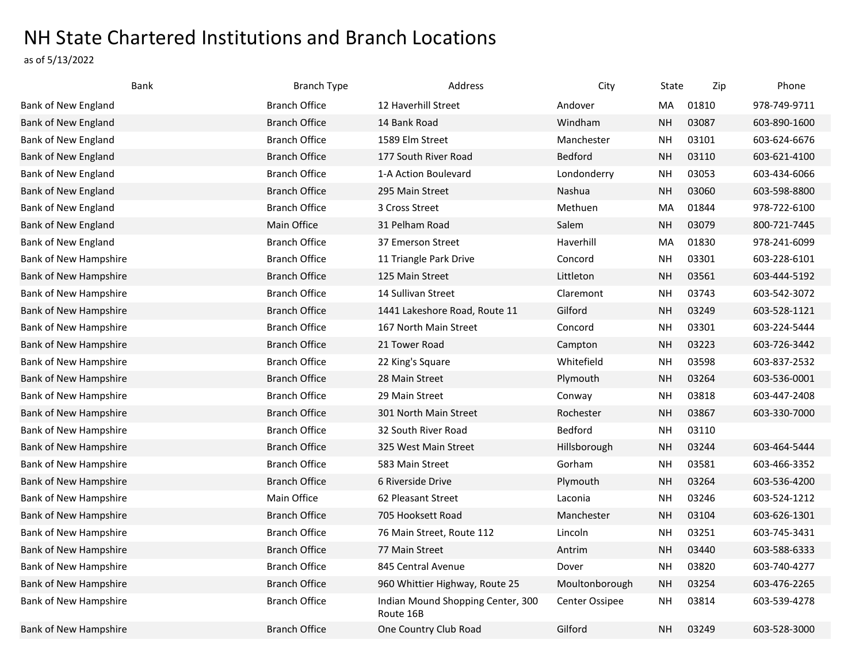## NH State Chartered Institutions and Branch Locations

as of 5/13/2022

| Bank                         | <b>Branch Type</b>   | Address                                        | City           | State     | Zip   | Phone        |
|------------------------------|----------------------|------------------------------------------------|----------------|-----------|-------|--------------|
| Bank of New England          | <b>Branch Office</b> | 12 Haverhill Street                            | Andover        | MA        | 01810 | 978-749-9711 |
| Bank of New England          | <b>Branch Office</b> | 14 Bank Road                                   | Windham        | <b>NH</b> | 03087 | 603-890-1600 |
| Bank of New England          | <b>Branch Office</b> | 1589 Elm Street                                | Manchester     | <b>NH</b> | 03101 | 603-624-6676 |
| Bank of New England          | <b>Branch Office</b> | 177 South River Road                           | <b>Bedford</b> | <b>NH</b> | 03110 | 603-621-4100 |
| Bank of New England          | <b>Branch Office</b> | 1-A Action Boulevard                           | Londonderry    | <b>NH</b> | 03053 | 603-434-6066 |
| Bank of New England          | <b>Branch Office</b> | 295 Main Street                                | Nashua         | <b>NH</b> | 03060 | 603-598-8800 |
| Bank of New England          | <b>Branch Office</b> | 3 Cross Street                                 | Methuen        | MA        | 01844 | 978-722-6100 |
| Bank of New England          | Main Office          | 31 Pelham Road                                 | Salem          | <b>NH</b> | 03079 | 800-721-7445 |
| Bank of New England          | <b>Branch Office</b> | 37 Emerson Street                              | Haverhill      | MA        | 01830 | 978-241-6099 |
| Bank of New Hampshire        | <b>Branch Office</b> | 11 Triangle Park Drive                         | Concord        | <b>NH</b> | 03301 | 603-228-6101 |
| Bank of New Hampshire        | <b>Branch Office</b> | 125 Main Street                                | Littleton      | <b>NH</b> | 03561 | 603-444-5192 |
| Bank of New Hampshire        | <b>Branch Office</b> | 14 Sullivan Street                             | Claremont      | <b>NH</b> | 03743 | 603-542-3072 |
| Bank of New Hampshire        | <b>Branch Office</b> | 1441 Lakeshore Road, Route 11                  | Gilford        | <b>NH</b> | 03249 | 603-528-1121 |
| Bank of New Hampshire        | <b>Branch Office</b> | 167 North Main Street                          | Concord        | <b>NH</b> | 03301 | 603-224-5444 |
| Bank of New Hampshire        | <b>Branch Office</b> | 21 Tower Road                                  | Campton        | <b>NH</b> | 03223 | 603-726-3442 |
| Bank of New Hampshire        | <b>Branch Office</b> | 22 King's Square                               | Whitefield     | NΗ        | 03598 | 603-837-2532 |
| <b>Bank of New Hampshire</b> | <b>Branch Office</b> | 28 Main Street                                 | Plymouth       | <b>NH</b> | 03264 | 603-536-0001 |
| Bank of New Hampshire        | <b>Branch Office</b> | 29 Main Street                                 | Conway         | <b>NH</b> | 03818 | 603-447-2408 |
| Bank of New Hampshire        | <b>Branch Office</b> | 301 North Main Street                          | Rochester      | <b>NH</b> | 03867 | 603-330-7000 |
| Bank of New Hampshire        | <b>Branch Office</b> | 32 South River Road                            | <b>Bedford</b> | <b>NH</b> | 03110 |              |
| Bank of New Hampshire        | <b>Branch Office</b> | 325 West Main Street                           | Hillsborough   | <b>NH</b> | 03244 | 603-464-5444 |
| Bank of New Hampshire        | <b>Branch Office</b> | 583 Main Street                                | Gorham         | <b>NH</b> | 03581 | 603-466-3352 |
| Bank of New Hampshire        | <b>Branch Office</b> | 6 Riverside Drive                              | Plymouth       | <b>NH</b> | 03264 | 603-536-4200 |
| Bank of New Hampshire        | Main Office          | 62 Pleasant Street                             | Laconia        | <b>NH</b> | 03246 | 603-524-1212 |
| Bank of New Hampshire        | <b>Branch Office</b> | 705 Hooksett Road                              | Manchester     | <b>NH</b> | 03104 | 603-626-1301 |
| Bank of New Hampshire        | <b>Branch Office</b> | 76 Main Street, Route 112                      | Lincoln        | <b>NH</b> | 03251 | 603-745-3431 |
| Bank of New Hampshire        | <b>Branch Office</b> | 77 Main Street                                 | Antrim         | <b>NH</b> | 03440 | 603-588-6333 |
| Bank of New Hampshire        | <b>Branch Office</b> | 845 Central Avenue                             | Dover          | NΗ        | 03820 | 603-740-4277 |
| Bank of New Hampshire        | <b>Branch Office</b> | 960 Whittier Highway, Route 25                 | Moultonborough | <b>NH</b> | 03254 | 603-476-2265 |
| Bank of New Hampshire        | <b>Branch Office</b> | Indian Mound Shopping Center, 300<br>Route 16B | Center Ossipee | NΗ        | 03814 | 603-539-4278 |
| Bank of New Hampshire        | <b>Branch Office</b> | One Country Club Road                          | Gilford        | <b>NH</b> | 03249 | 603-528-3000 |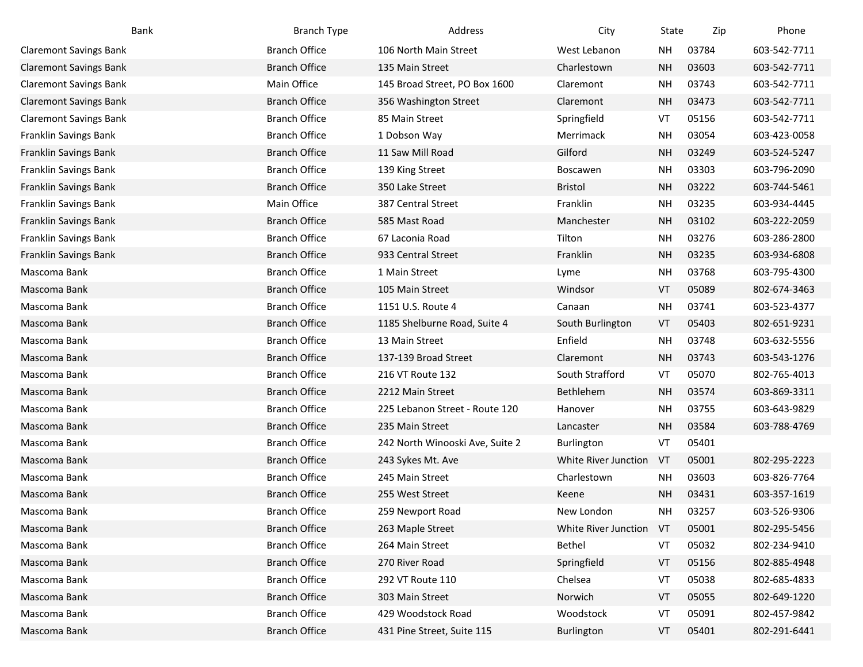| Bank                          | <b>Branch Type</b>   | Address                         | City                 | State     | Zip   | Phone        |
|-------------------------------|----------------------|---------------------------------|----------------------|-----------|-------|--------------|
| <b>Claremont Savings Bank</b> | <b>Branch Office</b> | 106 North Main Street           | West Lebanon         | NΗ        | 03784 | 603-542-7711 |
| <b>Claremont Savings Bank</b> | <b>Branch Office</b> | 135 Main Street                 | Charlestown          | <b>NH</b> | 03603 | 603-542-7711 |
| <b>Claremont Savings Bank</b> | Main Office          | 145 Broad Street, PO Box 1600   | Claremont            | NΗ        | 03743 | 603-542-7711 |
| <b>Claremont Savings Bank</b> | <b>Branch Office</b> | 356 Washington Street           | Claremont            | <b>NH</b> | 03473 | 603-542-7711 |
| <b>Claremont Savings Bank</b> | <b>Branch Office</b> | 85 Main Street                  | Springfield          | VT        | 05156 | 603-542-7711 |
| Franklin Savings Bank         | <b>Branch Office</b> | 1 Dobson Way                    | Merrimack            | NΗ        | 03054 | 603-423-0058 |
| Franklin Savings Bank         | <b>Branch Office</b> | 11 Saw Mill Road                | Gilford              | <b>NH</b> | 03249 | 603-524-5247 |
| Franklin Savings Bank         | <b>Branch Office</b> | 139 King Street                 | Boscawen             | <b>NH</b> | 03303 | 603-796-2090 |
| Franklin Savings Bank         | <b>Branch Office</b> | 350 Lake Street                 | <b>Bristol</b>       | <b>NH</b> | 03222 | 603-744-5461 |
| Franklin Savings Bank         | Main Office          | 387 Central Street              | Franklin             | <b>NH</b> | 03235 | 603-934-4445 |
| Franklin Savings Bank         | <b>Branch Office</b> | 585 Mast Road                   | Manchester           | <b>NH</b> | 03102 | 603-222-2059 |
| Franklin Savings Bank         | <b>Branch Office</b> | 67 Laconia Road                 | Tilton               | NΗ        | 03276 | 603-286-2800 |
| Franklin Savings Bank         | <b>Branch Office</b> | 933 Central Street              | Franklin             | <b>NH</b> | 03235 | 603-934-6808 |
| Mascoma Bank                  | <b>Branch Office</b> | 1 Main Street                   | Lyme                 | <b>NH</b> | 03768 | 603-795-4300 |
| Mascoma Bank                  | <b>Branch Office</b> | 105 Main Street                 | Windsor              | VT        | 05089 | 802-674-3463 |
| Mascoma Bank                  | <b>Branch Office</b> | 1151 U.S. Route 4               | Canaan               | NΗ        | 03741 | 603-523-4377 |
| Mascoma Bank                  | <b>Branch Office</b> | 1185 Shelburne Road, Suite 4    | South Burlington     | VT        | 05403 | 802-651-9231 |
| Mascoma Bank                  | <b>Branch Office</b> | 13 Main Street                  | Enfield              | <b>NH</b> | 03748 | 603-632-5556 |
| Mascoma Bank                  | <b>Branch Office</b> | 137-139 Broad Street            | Claremont            | <b>NH</b> | 03743 | 603-543-1276 |
| Mascoma Bank                  | <b>Branch Office</b> | 216 VT Route 132                | South Strafford      | VT        | 05070 | 802-765-4013 |
| Mascoma Bank                  | <b>Branch Office</b> | 2212 Main Street                | Bethlehem            | <b>NH</b> | 03574 | 603-869-3311 |
| Mascoma Bank                  | <b>Branch Office</b> | 225 Lebanon Street - Route 120  | Hanover              | <b>NH</b> | 03755 | 603-643-9829 |
| Mascoma Bank                  | <b>Branch Office</b> | 235 Main Street                 | Lancaster            | <b>NH</b> | 03584 | 603-788-4769 |
| Mascoma Bank                  | <b>Branch Office</b> | 242 North Winooski Ave, Suite 2 | <b>Burlington</b>    | VT        | 05401 |              |
| Mascoma Bank                  | <b>Branch Office</b> | 243 Sykes Mt. Ave               | White River Junction | VT        | 05001 | 802-295-2223 |
| Mascoma Bank                  | <b>Branch Office</b> | 245 Main Street                 | Charlestown          | <b>NH</b> | 03603 | 603-826-7764 |
| Mascoma Bank                  | <b>Branch Office</b> | 255 West Street                 | Keene                | <b>NH</b> | 03431 | 603-357-1619 |
| Mascoma Bank                  | <b>Branch Office</b> | 259 Newport Road                | New London           | <b>NH</b> | 03257 | 603-526-9306 |
| Mascoma Bank                  | <b>Branch Office</b> | 263 Maple Street                | White River Junction | VT        | 05001 | 802-295-5456 |
| Mascoma Bank                  | <b>Branch Office</b> | 264 Main Street                 | Bethel               | VT        | 05032 | 802-234-9410 |
| Mascoma Bank                  | <b>Branch Office</b> | 270 River Road                  | Springfield          | VT        | 05156 | 802-885-4948 |
| Mascoma Bank                  | <b>Branch Office</b> | 292 VT Route 110                | Chelsea              | VT        | 05038 | 802-685-4833 |
| Mascoma Bank                  | <b>Branch Office</b> | 303 Main Street                 | Norwich              | VT        | 05055 | 802-649-1220 |
| Mascoma Bank                  | <b>Branch Office</b> | 429 Woodstock Road              | Woodstock            | VT        | 05091 | 802-457-9842 |
| Mascoma Bank                  | <b>Branch Office</b> | 431 Pine Street, Suite 115      | Burlington           | VT        | 05401 | 802-291-6441 |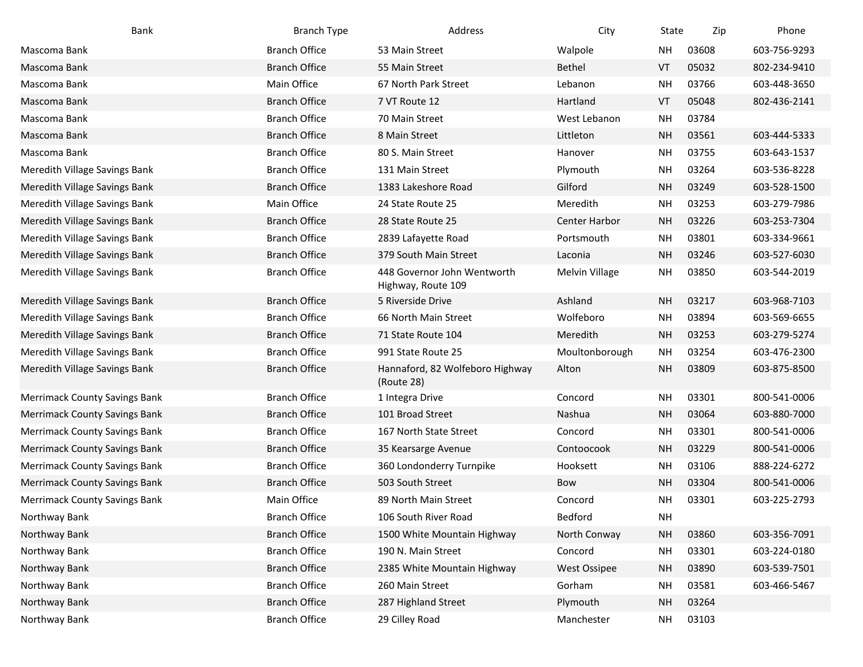| Bank                                 | <b>Branch Type</b>   | Address                                           | City                 | State     | Zip   | Phone        |
|--------------------------------------|----------------------|---------------------------------------------------|----------------------|-----------|-------|--------------|
| Mascoma Bank                         | <b>Branch Office</b> | 53 Main Street                                    | Walpole              | <b>NH</b> | 03608 | 603-756-9293 |
| Mascoma Bank                         | <b>Branch Office</b> | 55 Main Street                                    | <b>Bethel</b>        | VT        | 05032 | 802-234-9410 |
| Mascoma Bank                         | Main Office          | 67 North Park Street                              | Lebanon              | <b>NH</b> | 03766 | 603-448-3650 |
| Mascoma Bank                         | <b>Branch Office</b> | 7 VT Route 12                                     | Hartland             | VT        | 05048 | 802-436-2141 |
| Mascoma Bank                         | <b>Branch Office</b> | 70 Main Street                                    | West Lebanon         | <b>NH</b> | 03784 |              |
| Mascoma Bank                         | <b>Branch Office</b> | 8 Main Street                                     | Littleton            | <b>NH</b> | 03561 | 603-444-5333 |
| Mascoma Bank                         | <b>Branch Office</b> | 80 S. Main Street                                 | Hanover              | <b>NH</b> | 03755 | 603-643-1537 |
| Meredith Village Savings Bank        | <b>Branch Office</b> | 131 Main Street                                   | Plymouth             | <b>NH</b> | 03264 | 603-536-8228 |
| Meredith Village Savings Bank        | <b>Branch Office</b> | 1383 Lakeshore Road                               | Gilford              | <b>NH</b> | 03249 | 603-528-1500 |
| Meredith Village Savings Bank        | Main Office          | 24 State Route 25                                 | Meredith             | <b>NH</b> | 03253 | 603-279-7986 |
| Meredith Village Savings Bank        | <b>Branch Office</b> | 28 State Route 25                                 | <b>Center Harbor</b> | <b>NH</b> | 03226 | 603-253-7304 |
| Meredith Village Savings Bank        | <b>Branch Office</b> | 2839 Lafayette Road                               | Portsmouth           | <b>NH</b> | 03801 | 603-334-9661 |
| Meredith Village Savings Bank        | <b>Branch Office</b> | 379 South Main Street                             | Laconia              | <b>NH</b> | 03246 | 603-527-6030 |
| Meredith Village Savings Bank        | <b>Branch Office</b> | 448 Governor John Wentworth<br>Highway, Route 109 | Melvin Village       | <b>NH</b> | 03850 | 603-544-2019 |
| Meredith Village Savings Bank        | <b>Branch Office</b> | 5 Riverside Drive                                 | Ashland              | <b>NH</b> | 03217 | 603-968-7103 |
| Meredith Village Savings Bank        | <b>Branch Office</b> | 66 North Main Street                              | Wolfeboro            | <b>NH</b> | 03894 | 603-569-6655 |
| Meredith Village Savings Bank        | <b>Branch Office</b> | 71 State Route 104                                | Meredith             | <b>NH</b> | 03253 | 603-279-5274 |
| Meredith Village Savings Bank        | <b>Branch Office</b> | 991 State Route 25                                | Moultonborough       | <b>NH</b> | 03254 | 603-476-2300 |
| Meredith Village Savings Bank        | <b>Branch Office</b> | Hannaford, 82 Wolfeboro Highway<br>(Route 28)     | Alton                | <b>NH</b> | 03809 | 603-875-8500 |
| <b>Merrimack County Savings Bank</b> | <b>Branch Office</b> | 1 Integra Drive                                   | Concord              | <b>NH</b> | 03301 | 800-541-0006 |
| <b>Merrimack County Savings Bank</b> | <b>Branch Office</b> | 101 Broad Street                                  | Nashua               | <b>NH</b> | 03064 | 603-880-7000 |
| <b>Merrimack County Savings Bank</b> | <b>Branch Office</b> | 167 North State Street                            | Concord              | <b>NH</b> | 03301 | 800-541-0006 |
| <b>Merrimack County Savings Bank</b> | <b>Branch Office</b> | 35 Kearsarge Avenue                               | Contoocook           | <b>NH</b> | 03229 | 800-541-0006 |
| <b>Merrimack County Savings Bank</b> | <b>Branch Office</b> | 360 Londonderry Turnpike                          | Hooksett             | <b>NH</b> | 03106 | 888-224-6272 |
| <b>Merrimack County Savings Bank</b> | <b>Branch Office</b> | 503 South Street                                  | Bow                  | <b>NH</b> | 03304 | 800-541-0006 |
| <b>Merrimack County Savings Bank</b> | Main Office          | 89 North Main Street                              | Concord              | <b>NH</b> | 03301 | 603-225-2793 |
| Northway Bank                        | <b>Branch Office</b> | 106 South River Road                              | Bedford              | <b>NH</b> |       |              |
| Northway Bank                        | <b>Branch Office</b> | 1500 White Mountain Highway                       | North Conway         | <b>NH</b> | 03860 | 603-356-7091 |
| Northway Bank                        | <b>Branch Office</b> | 190 N. Main Street                                | Concord              | <b>NH</b> | 03301 | 603-224-0180 |
| Northway Bank                        | <b>Branch Office</b> | 2385 White Mountain Highway                       | <b>West Ossipee</b>  | <b>NH</b> | 03890 | 603-539-7501 |
| Northway Bank                        | <b>Branch Office</b> | 260 Main Street                                   | Gorham               | <b>NH</b> | 03581 | 603-466-5467 |
| Northway Bank                        | <b>Branch Office</b> | 287 Highland Street                               | Plymouth             | <b>NH</b> | 03264 |              |
| Northway Bank                        | <b>Branch Office</b> | 29 Cilley Road                                    | Manchester           | <b>NH</b> | 03103 |              |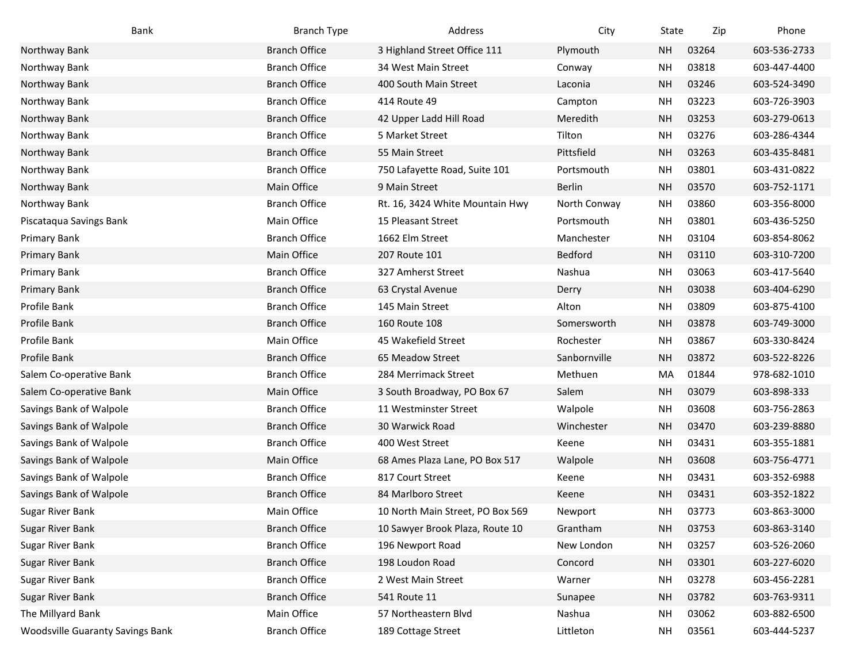| Bank                                    | <b>Branch Type</b>   | Address                          | City          | State     | Zip   | Phone        |
|-----------------------------------------|----------------------|----------------------------------|---------------|-----------|-------|--------------|
| Northway Bank                           | <b>Branch Office</b> | 3 Highland Street Office 111     | Plymouth      | <b>NH</b> | 03264 | 603-536-2733 |
| Northway Bank                           | <b>Branch Office</b> | 34 West Main Street              | Conway        | <b>NH</b> | 03818 | 603-447-4400 |
| Northway Bank                           | <b>Branch Office</b> | 400 South Main Street            | Laconia       | <b>NH</b> | 03246 | 603-524-3490 |
| Northway Bank                           | <b>Branch Office</b> | 414 Route 49                     | Campton       | <b>NH</b> | 03223 | 603-726-3903 |
| Northway Bank                           | <b>Branch Office</b> | 42 Upper Ladd Hill Road          | Meredith      | <b>NH</b> | 03253 | 603-279-0613 |
| Northway Bank                           | <b>Branch Office</b> | 5 Market Street                  | Tilton        | NΗ        | 03276 | 603-286-4344 |
| Northway Bank                           | <b>Branch Office</b> | 55 Main Street                   | Pittsfield    | <b>NH</b> | 03263 | 603-435-8481 |
| Northway Bank                           | <b>Branch Office</b> | 750 Lafayette Road, Suite 101    | Portsmouth    | <b>NH</b> | 03801 | 603-431-0822 |
| Northway Bank                           | Main Office          | 9 Main Street                    | <b>Berlin</b> | <b>NH</b> | 03570 | 603-752-1171 |
| Northway Bank                           | <b>Branch Office</b> | Rt. 16, 3424 White Mountain Hwy  | North Conway  | <b>NH</b> | 03860 | 603-356-8000 |
| Piscataqua Savings Bank                 | Main Office          | 15 Pleasant Street               | Portsmouth    | <b>NH</b> | 03801 | 603-436-5250 |
| Primary Bank                            | <b>Branch Office</b> | 1662 Elm Street                  | Manchester    | <b>NH</b> | 03104 | 603-854-8062 |
| <b>Primary Bank</b>                     | Main Office          | 207 Route 101                    | Bedford       | <b>NH</b> | 03110 | 603-310-7200 |
| Primary Bank                            | <b>Branch Office</b> | 327 Amherst Street               | Nashua        | <b>NH</b> | 03063 | 603-417-5640 |
| <b>Primary Bank</b>                     | <b>Branch Office</b> | 63 Crystal Avenue                | Derry         | <b>NH</b> | 03038 | 603-404-6290 |
| Profile Bank                            | <b>Branch Office</b> | 145 Main Street                  | Alton         | <b>NH</b> | 03809 | 603-875-4100 |
| Profile Bank                            | <b>Branch Office</b> | 160 Route 108                    | Somersworth   | <b>NH</b> | 03878 | 603-749-3000 |
| Profile Bank                            | Main Office          | 45 Wakefield Street              | Rochester     | <b>NH</b> | 03867 | 603-330-8424 |
| Profile Bank                            | <b>Branch Office</b> | 65 Meadow Street                 | Sanbornville  | <b>NH</b> | 03872 | 603-522-8226 |
| Salem Co-operative Bank                 | <b>Branch Office</b> | 284 Merrimack Street             | Methuen       | MA        | 01844 | 978-682-1010 |
| Salem Co-operative Bank                 | Main Office          | 3 South Broadway, PO Box 67      | Salem         | <b>NH</b> | 03079 | 603-898-333  |
| Savings Bank of Walpole                 | <b>Branch Office</b> | 11 Westminster Street            | Walpole       | <b>NH</b> | 03608 | 603-756-2863 |
| Savings Bank of Walpole                 | <b>Branch Office</b> | 30 Warwick Road                  | Winchester    | <b>NH</b> | 03470 | 603-239-8880 |
| Savings Bank of Walpole                 | <b>Branch Office</b> | 400 West Street                  | Keene         | <b>NH</b> | 03431 | 603-355-1881 |
| Savings Bank of Walpole                 | Main Office          | 68 Ames Plaza Lane, PO Box 517   | Walpole       | <b>NH</b> | 03608 | 603-756-4771 |
| Savings Bank of Walpole                 | <b>Branch Office</b> | 817 Court Street                 | Keene         | <b>NH</b> | 03431 | 603-352-6988 |
| Savings Bank of Walpole                 | <b>Branch Office</b> | 84 Marlboro Street               | Keene         | <b>NH</b> | 03431 | 603-352-1822 |
| Sugar River Bank                        | Main Office          | 10 North Main Street, PO Box 569 | Newport       | <b>NH</b> | 03773 | 603-863-3000 |
| Sugar River Bank                        | <b>Branch Office</b> | 10 Sawyer Brook Plaza, Route 10  | Grantham      | <b>NH</b> | 03753 | 603-863-3140 |
| Sugar River Bank                        | <b>Branch Office</b> | 196 Newport Road                 | New London    | <b>NH</b> | 03257 | 603-526-2060 |
| <b>Sugar River Bank</b>                 | <b>Branch Office</b> | 198 Loudon Road                  | Concord       | <b>NH</b> | 03301 | 603-227-6020 |
| Sugar River Bank                        | <b>Branch Office</b> | 2 West Main Street               | Warner        | <b>NH</b> | 03278 | 603-456-2281 |
| Sugar River Bank                        | <b>Branch Office</b> | 541 Route 11                     | Sunapee       | <b>NH</b> | 03782 | 603-763-9311 |
| The Millyard Bank                       | Main Office          | 57 Northeastern Blvd             | Nashua        | <b>NH</b> | 03062 | 603-882-6500 |
| <b>Woodsville Guaranty Savings Bank</b> | <b>Branch Office</b> | 189 Cottage Street               | Littleton     | <b>NH</b> | 03561 | 603-444-5237 |